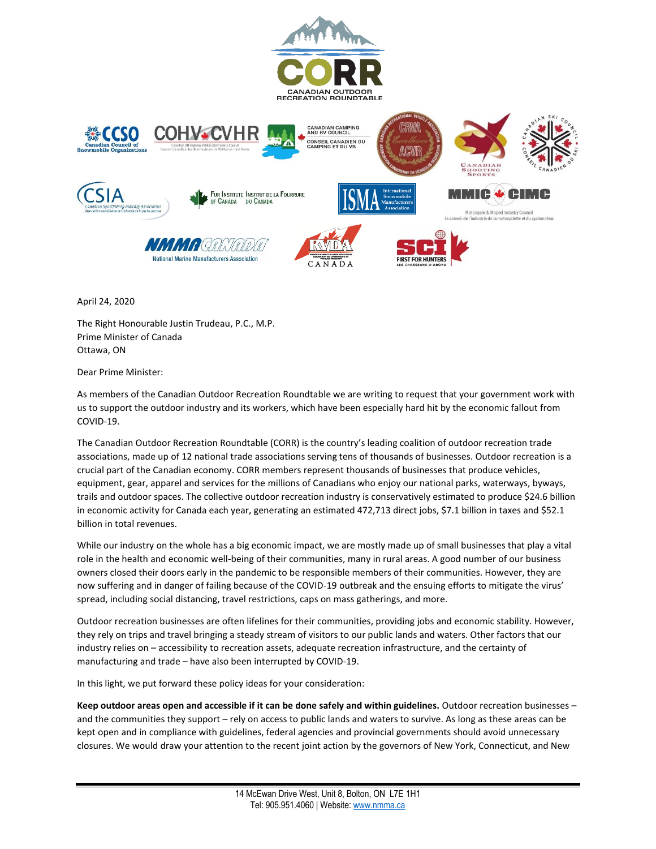

April 24, 2020

The Right Honourable Justin Trudeau, P.C., M.P. Prime Minister of Canada Ottawa, ON

Dear Prime Minister:

As members of the Canadian Outdoor Recreation Roundtable we are writing to request that your government work with us to support the outdoor industry and its workers, which have been especially hard hit by the economic fallout from COVID-19.

The Canadian Outdoor Recreation Roundtable (CORR) is the country's leading coalition of outdoor recreation trade associations, made up of 12 national trade associations serving tens of thousands of businesses. Outdoor recreation is a crucial part of the Canadian economy. CORR members represent thousands of businesses that produce vehicles, equipment, gear, apparel and services for the millions of Canadians who enjoy our national parks, waterways, byways, trails and outdoor spaces. The collective outdoor recreation industry is conservatively estimated to produce \$24.6 billion in economic activity for Canada each year, generating an estimated 472,713 direct jobs, \$7.1 billion in taxes and \$52.1 billion in total revenues.

While our industry on the whole has a big economic impact, we are mostly made up of small businesses that play a vital role in the health and economic well-being of their communities, many in rural areas. A good number of our business owners closed their doors early in the pandemic to be responsible members of their communities. However, they are now suffering and in danger of failing because of the COVID-19 outbreak and the ensuing efforts to mitigate the virus' spread, including social distancing, travel restrictions, caps on mass gatherings, and more.

Outdoor recreation businesses are often lifelines for their communities, providing jobs and economic stability. However, they rely on trips and travel bringing a steady stream of visitors to our public lands and waters. Other factors that our industry relies on – accessibility to recreation assets, adequate recreation infrastructure, and the certainty of manufacturing and trade – have also been interrupted by COVID-19.

In this light, we put forward these policy ideas for your consideration:

**Keep outdoor areas open and accessible if it can be done safely and within guidelines.** Outdoor recreation businesses – and the communities they support – rely on access to public lands and waters to survive. As long as these areas can be kept open and in compliance with guidelines, federal agencies and provincial governments should avoid unnecessary closures. We would draw your attention to the recent joint action by the governors of New York, Connecticut, and New